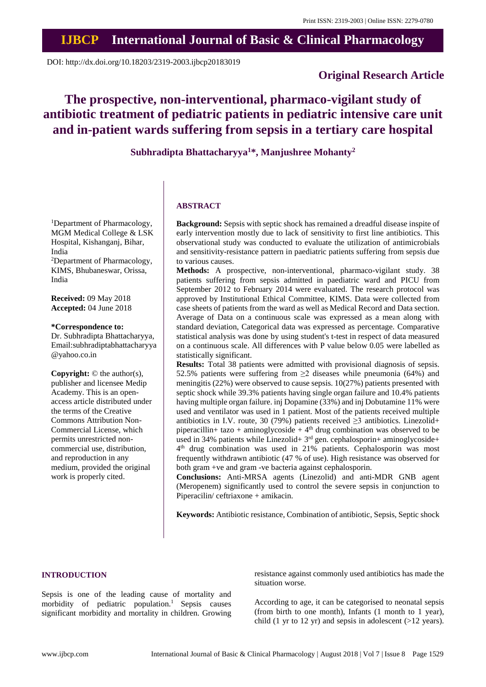# **IJBCP International Journal of Basic & Clinical Pharmacology**

DOI: http://dx.doi.org/10.18203/2319-2003.ijbcp20183019

# **Original Research Article**

# **The prospective, non-interventional, pharmaco-vigilant study of antibiotic treatment of pediatric patients in pediatric intensive care unit and in-patient wards suffering from sepsis in a tertiary care hospital**

**Subhradipta Bhattacharyya<sup>1</sup>\*, Manjushree Mohanty<sup>2</sup>**

## **ABSTRACT**

**Background:** Sepsis with septic shock has remained a dreadful disease inspite of early intervention mostly due to lack of sensitivity to first line antibiotics. This observational study was conducted to evaluate the utilization of antimicrobials and sensitivity-resistance pattern in paediatric patients suffering from sepsis due to various causes.

**Methods:** A prospective, non-interventional, pharmaco-vigilant study. 38 patients suffering from sepsis admitted in paediatric ward and PICU from September 2012 to February 2014 were evaluated. The research protocol was approved by Institutional Ethical Committee, KIMS. Data were collected from case sheets of patients from the ward as well as Medical Record and Data section. Average of Data on a continuous scale was expressed as a mean along with standard deviation, Categorical data was expressed as percentage. Comparative statistical analysis was done by using student's t-test in respect of data measured on a continuous scale. All differences with P value below 0.05 were labelled as statistically significant.

**Results:** Total 38 patients were admitted with provisional diagnosis of sepsis. 52.5% patients were suffering from  $\geq$  2 diseases while pneumonia (64%) and meningitis (22%) were observed to cause sepsis. 10(27%) patients presented with septic shock while 39.3% patients having single organ failure and 10.4% patients having multiple organ failure. inj Dopamine (33%) and inj Dobutamine 11% were used and ventilator was used in 1 patient. Most of the patients received multiple antibiotics in I.V. route, 30 (79%) patients received  $\geq$ 3 antibiotics. Linezolid+ piperacillin+ tazo + aminoglycoside +  $4<sup>th</sup>$  drug combination was observed to be used in 34% patients while Linezolid+ 3<sup>rd</sup> gen. cephalosporin+ aminoglycoside+ 4 th drug combination was used in 21% patients. Cephalosporin was most frequently withdrawn antibiotic (47 % of use). High resistance was observed for both gram +ve and gram -ve bacteria against cephalosporin.

**Conclusions:** Anti-MRSA agents (Linezolid) and anti-MDR GNB agent (Meropenem) significantly used to control the severe sepsis in conjunction to Piperacilin/ ceftriaxone + amikacin.

**Keywords:** Antibiotic resistance, Combination of antibiotic, Sepsis, Septic shock

## **INTRODUCTION**

Sepsis is one of the leading cause of mortality and morbidity of pediatric population.<sup>1</sup> Sepsis causes significant morbidity and mortality in children. Growing resistance against commonly used antibiotics has made the situation worse.

According to age, it can be categorised to neonatal sepsis (from birth to one month), Infants (1 month to 1 year), child (1 yr to 12 yr) and sepsis in adolescent (>12 years).

<sup>1</sup>Department of Pharmacology, MGM Medical College & LSK Hospital, Kishanganj, Bihar, India <sup>2</sup>Department of Pharmacology, KIMS, Bhubaneswar, Orissa, India

**Received:** 09 May 2018 **Accepted:** 04 June 2018

#### **\*Correspondence to:**

Dr. Subhradipta Bhattacharyya, Email:subhradiptabhattacharyya @yahoo.co.in

**Copyright:** © the author(s), publisher and licensee Medip Academy. This is an openaccess article distributed under the terms of the Creative Commons Attribution Non-Commercial License, which permits unrestricted noncommercial use, distribution, and reproduction in any medium, provided the original work is properly cited.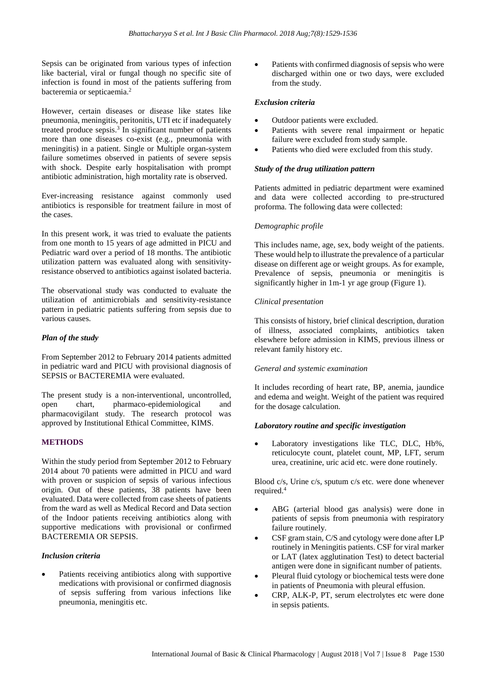Sepsis can be originated from various types of infection like bacterial, viral or fungal though no specific site of infection is found in most of the patients suffering from bacteremia or septicaemia.<sup>2</sup>

However, certain diseases or disease like states like pneumonia, meningitis, peritonitis, UTI etc if inadequately treated produce sepsis.<sup>3</sup> In significant number of patients more than one diseases co-exist (e.g., pneumonia with meningitis) in a patient. Single or Multiple organ-system failure sometimes observed in patients of severe sepsis with shock. Despite early hospitalisation with prompt antibiotic administration, high mortality rate is observed.

Ever-increasing resistance against commonly used antibiotics is responsible for treatment failure in most of the cases.

In this present work, it was tried to evaluate the patients from one month to 15 years of age admitted in PICU and Pediatric ward over a period of 18 months. The antibiotic utilization pattern was evaluated along with sensitivityresistance observed to antibiotics against isolated bacteria.

The observational study was conducted to evaluate the utilization of antimicrobials and sensitivity-resistance pattern in pediatric patients suffering from sepsis due to various causes.

## *Plan of the study*

From September 2012 to February 2014 patients admitted in pediatric ward and PICU with provisional diagnosis of SEPSIS or BACTEREMIA were evaluated.

The present study is a non-interventional, uncontrolled, open chart, pharmaco-epidemiological and pharmacovigilant study. The research protocol was approved by Institutional Ethical Committee, KIMS.

## **METHODS**

Within the study period from September 2012 to February 2014 about 70 patients were admitted in PICU and ward with proven or suspicion of sepsis of various infectious origin. Out of these patients, 38 patients have been evaluated. Data were collected from case sheets of patients from the ward as well as Medical Record and Data section of the Indoor patients receiving antibiotics along with supportive medications with provisional or confirmed BACTEREMIA OR SEPSIS.

#### *Inclusion criteria*

Patients receiving antibiotics along with supportive medications with provisional or confirmed diagnosis of sepsis suffering from various infections like pneumonia, meningitis etc.

Patients with confirmed diagnosis of sepsis who were discharged within one or two days, were excluded from the study.

### *Exclusion criteria*

- Outdoor patients were excluded.
- Patients with severe renal impairment or hepatic failure were excluded from study sample.
- Patients who died were excluded from this study.

## *Study of the drug utilization pattern*

Patients admitted in pediatric department were examined and data were collected according to pre-structured proforma. The following data were collected:

## *Demographic profile*

This includes name, age, sex, body weight of the patients. These would help to illustrate the prevalence of a particular disease on different age or weight groups. As for example, Prevalence of sepsis, pneumonia or meningitis is significantly higher in 1m-1 yr age group (Figure 1).

## *Clinical presentation*

This consists of history, brief clinical description, duration of illness, associated complaints, antibiotics taken elsewhere before admission in KIMS, previous illness or relevant family history etc.

#### *General and systemic examination*

It includes recording of heart rate, BP, anemia, jaundice and edema and weight. Weight of the patient was required for the dosage calculation.

#### *Laboratory routine and specific investigation*

Laboratory investigations like TLC, DLC, Hb%, reticulocyte count, platelet count, MP, LFT, serum urea, creatinine, uric acid etc. were done routinely.

Blood c/s, Urine c/s, sputum c/s etc. were done whenever required.<sup>4</sup>

- ABG (arterial blood gas analysis) were done in patients of sepsis from pneumonia with respiratory failure routinely.
- CSF gram stain, C/S and cytology were done after LP routinely in Meningitis patients. CSF for viral marker or LAT (latex agglutination Test) to detect bacterial antigen were done in significant number of patients.
- Pleural fluid cytology or biochemical tests were done in patients of Pneumonia with pleural effusion.
- CRP, ALK-P, PT, serum electrolytes etc were done in sepsis patients.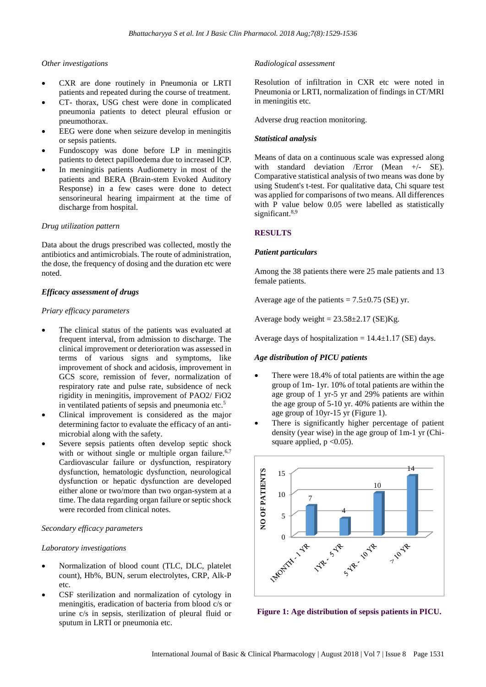## *Other investigations*

- CXR are done routinely in Pneumonia or LRTI patients and repeated during the course of treatment.
- CT- thorax, USG chest were done in complicated pneumonia patients to detect pleural effusion or pneumothorax.
- EEG were done when seizure develop in meningitis or sepsis patients.
- Fundoscopy was done before LP in meningitis patients to detect papilloedema due to increased ICP.
- In meningitis patients Audiometry in most of the patients and BERA (Brain-stem Evoked Auditory Response) in a few cases were done to detect sensorineural hearing impairment at the time of discharge from hospital.

## *Drug utilization pattern*

Data about the drugs prescribed was collected, mostly the antibiotics and antimicrobials. The route of administration, the dose, the frequency of dosing and the duration etc were noted.

## *Efficacy assessment of drugs*

## *Priary efficacy parameters*

- The clinical status of the patients was evaluated at frequent interval, from admission to discharge. The clinical improvement or deterioration was assessed in terms of various signs and symptoms, like improvement of shock and acidosis, improvement in GCS score, remission of fever, normalization of respiratory rate and pulse rate, subsidence of neck rigidity in meningitis, improvement of PAO2/ FiO2 in ventilated patients of sepsis and pneumonia etc.<sup>5</sup>
- Clinical improvement is considered as the major determining factor to evaluate the efficacy of an antimicrobial along with the safety.
- Severe sepsis patients often develop septic shock with or without single or multiple organ failure. $6,7$ Cardiovascular failure or dysfunction, respiratory dysfunction, hematologic dysfunction, neurological dysfunction or hepatic dysfunction are developed either alone or two/more than two organ-system at a time. The data regarding organ failure or septic shock were recorded from clinical notes.

#### *Secondary efficacy parameters*

## *Laboratory investigations*

- Normalization of blood count (TLC, DLC, platelet count), Hb%, BUN, serum electrolytes, CRP, Alk-P etc.
- CSF sterilization and normalization of cytology in meningitis, eradication of bacteria from blood c/s or urine c/s in sepsis, sterilization of pleural fluid or sputum in LRTI or pneumonia etc.

## *Radiological assessment*

Resolution of infiltration in CXR etc were noted in Pneumonia or LRTI, normalization of findings in CT/MRI in meningitis etc.

Adverse drug reaction monitoring.

## *Statistical analysis*

Means of data on a continuous scale was expressed along with standard deviation /Error (Mean +/- SE). Comparative statistical analysis of two means was done by using Student's t-test. For qualitative data, Chi square test was applied for comparisons of two means. All differences with P value below 0.05 were labelled as statistically significant.<sup>8,9</sup>

## **RESULTS**

#### *Patient particulars*

Among the 38 patients there were 25 male patients and 13 female patients.

Average age of the patients  $= 7.5 \pm 0.75$  (SE) yr.

Average body weight =  $23.58 \pm 2.17$  (SE)Kg.

Average days of hospitalization =  $14.4 \pm 1.17$  (SE) days.

## *Age distribution of PICU patients*

- There were 18.4% of total patients are within the age group of 1m- 1yr. 10% of total patients are within the age group of 1 yr-5 yr and 29% patients are within the age group of 5-10 yr. 40% patients are within the age group of 10yr-15 yr (Figure 1).
- There is significantly higher percentage of patient density (year wise) in the age group of 1m-1 yr (Chisquare applied,  $p < 0.05$ ).



**Figure 1: Age distribution of sepsis patients in PICU.**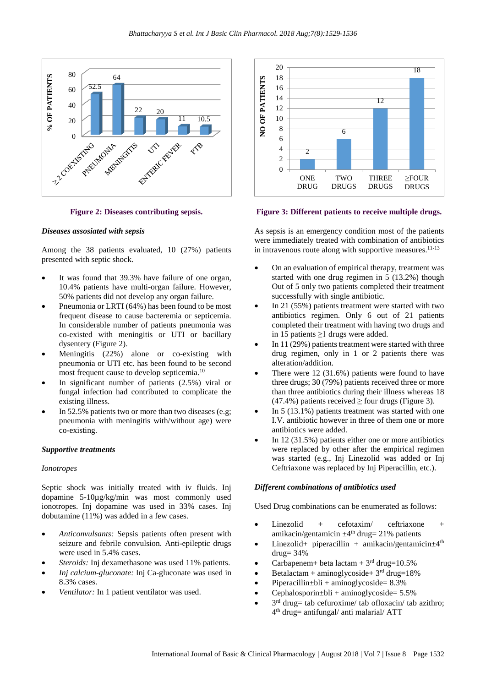



#### *Diseases assosiated with sepsis*

Among the 38 patients evaluated, 10 (27%) patients presented with septic shock.

- It was found that 39.3% have failure of one organ, 10.4% patients have multi-organ failure. However, 50% patients did not develop any organ failure.
- Pneumonia or LRTI (64%) has been found to be most frequent disease to cause bacteremia or septicemia. In considerable number of patients pneumonia was co-existed with meningitis or UTI or bacillary dysentery (Figure 2).
- Meningitis (22%) alone or co-existing with pneumonia or UTI etc. has been found to be second most frequent cause to develop septicemia.<sup>10</sup>
- In significant number of patients  $(2.5\%)$  viral or fungal infection had contributed to complicate the existing illness.
- In 52.5% patients two or more than two diseases (e.g; pneumonia with meningitis with/without age) were co-existing.

#### *Supportive treatments*

#### *Ionotropes*

Septic shock was initially treated with iv fluids. Inj dopamine 5-10µg/kg/min was most commonly used ionotropes. Inj dopamine was used in 33% cases. Inj dobutamine (11%) was added in a few cases.

- *Anticonvulsants:* Sepsis patients often present with seizure and febrile convulsion. Anti-epileptic drugs were used in 5.4% cases.
- Steroids: Inj dexamethasone was used 11% patients.
- *Inj calcium-gluconate:* Inj Ca-gluconate was used in 8.3% cases.
- Ventilator: In 1 patient ventilator was used.



**Figure 3: Different patients to receive multiple drugs.**

As sepsis is an emergency condition most of the patients were immediately treated with combination of antibiotics in intravenous route along with supportive measures.<sup>11-13</sup>

- On an evaluation of empirical therapy, treatment was started with one drug regimen in 5 (13.2%) though Out of 5 only two patients completed their treatment successfully with single antibiotic.
- In 21 (55%) patients treatment were started with two antibiotics regimen. Only 6 out of 21 patients completed their treatment with having two drugs and in 15 patients ≥1 drugs were added.
- In  $11(29%)$  patients treatment were started with three drug regimen, only in 1 or 2 patients there was alteration/addition.
- There were  $12$  (31.6%) patients were found to have three drugs; 30 (79%) patients received three or more than three antibiotics during their illness whereas 18  $(47.4\%)$  patients received  $\geq$  four drugs (Figure 3).
- In  $5(13.1\%)$  patients treatment was started with one I.V. antibiotic however in three of them one or more antibiotics were added.
- In 12  $(31.5\%)$  patients either one or more antibiotics were replaced by other after the empirical regimen was started (e.g., Inj Linezolid was added or Inj Ceftriaxone was replaced by Inj Piperacillin, etc.).

#### *Different combinations of antibiotics used*

Used Drug combinations can be enumerated as follows:

- $Linezolid + cefotaxim/ceftriaxone$ amikacin/gentamicin  $\pm 4$ <sup>th</sup> drug= 21% patients
- Linezolid+ piperacillin + amikacin/gentamicin $\pm 4$ <sup>th</sup>  $drug = 34%$
- Carbapenem+ beta lactam +  $3<sup>rd</sup>$  drug=10.5%
- Betalactam + aminoglycoside +  $3<sup>rd</sup>$  drug=18%
- $Piperacillin ± bli + aminoglycoside = 8.3%$
- $Cephalosporin±bli + aminoglycoside= 5.5%$
- $\bullet$  3<sup>rd</sup> drug= tab cefuroxime/ tab ofloxacin/ tab azithro; 4 th drug= antifungal/ anti malarial/ ATT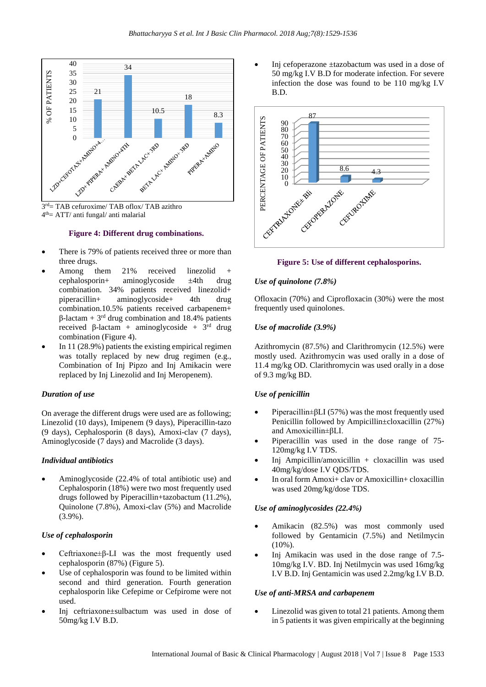



#### **Figure 4: Different drug combinations.**

- There is 79% of patients received three or more than three drugs.
- Among them 21% received linezolid + cephalosporin+ aminoglycoside ±4th drug combination. 34% patients received linezolid+ piperacillin+ aminoglycoside+ 4th drug combination.10.5% patients received carbapenem+  $β$ -lactam + 3<sup>rd</sup> drug combination and 18.4% patients received β-lactam + aminoglycoside +  $3<sup>rd</sup>$  drug combination (Figure 4).
- In 11 (28.9%) patients the existing empirical regimen was totally replaced by new drug regimen (e.g., Combination of Inj Pipzo and Inj Amikacin were replaced by Inj Linezolid and Inj Meropenem).

#### *Duration of use*

On average the different drugs were used are as following; Linezolid (10 days), Imipenem (9 days), Piperacillin-tazo (9 days), Cephalosporin (8 days), Amoxi-clav (7 days), Aminoglycoside (7 days) and Macrolide (3 days).

## *Individual antibiotics*

• Aminoglycoside (22.4% of total antibiotic use) and Cephalosporin (18%) were two most frequently used drugs followed by Piperacillin+tazobactum (11.2%), Quinolone (7.8%), Amoxi-clav (5%) and Macrolide (3.9%).

#### *Use of cephalosporin*

- Ceftriaxone±β-LI was the most frequently used cephalosporin (87%) (Figure 5).
- Use of cephalosporin was found to be limited within second and third generation. Fourth generation cephalosporin like Cefepime or Cefpirome were not used.
- Inj ceftriaxone±sulbactum was used in dose of 50mg/kg I.V B.D.

• Inj cefoperazone ±tazobactum was used in a dose of 50 mg/kg I.V B.D for moderate infection. For severe infection the dose was found to be 110 mg/kg I.V B.D.



#### **Figure 5: Use of different cephalosporins.**

## *Use of quinolone (7.8%)*

Ofloxacin (70%) and Ciprofloxacin (30%) were the most frequently used quinolones.

## *Use of macrolide (3.9%)*

Azithromycin (87.5%) and Clarithromycin (12.5%) were mostly used. Azithromycin was used orally in a dose of 11.4 mg/kg OD. Clarithromycin was used orally in a dose of 9.3 mg/kg BD.

#### *Use of penicillin*

- Piperacillin±βLI (57%) was the most frequently used Penicillin followed by Ampicillin±cloxacillin (27%) and Amoxicillin±βLI.
- Piperacillin was used in the dose range of 75- 120mg/kg I.V TDS.
- Inj Ampicillin/amoxicillin + cloxacillin was used 40mg/kg/dose I.V QDS/TDS.
- In oral form Amoxi+ clav or Amoxicillin+ cloxacillin was used 20mg/kg/dose TDS.

#### *Use of aminoglycosides (22.4%)*

- Amikacin (82.5%) was most commonly used followed by Gentamicin (7.5%) and Netilmycin (10%).
- Inj Amikacin was used in the dose range of 7.5- 10mg/kg I.V. BD. Inj Netilmycin was used 16mg/kg I.V B.D. Inj Gentamicin was used 2.2mg/kg I.V B.D.

## *Use of anti-MRSA and carbapenem*

Linezolid was given to total 21 patients. Among them in 5 patients it was given empirically at the beginning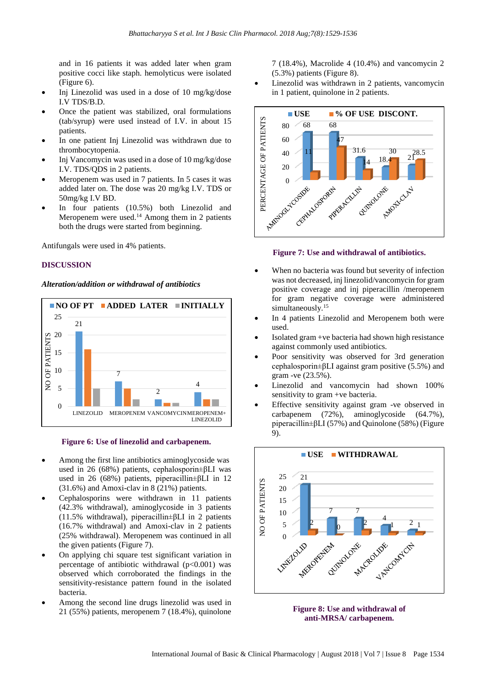and in 16 patients it was added later when gram positive cocci like staph. hemolyticus were isolated (Figure 6).

- Inj Linezolid was used in a dose of 10 mg/kg/dose I.V TDS/B.D.
- Once the patient was stabilized, oral formulations (tab/syrup) were used instead of I.V. in about 15 patients.
- In one patient Inj Linezolid was withdrawn due to thrombocytopenia.
- Inj Vancomycin was used in a dose of 10 mg/kg/dose I.V. TDS/QDS in 2 patients.
- Meropenem was used in 7 patients. In 5 cases it was added later on. The dose was 20 mg/kg I.V. TDS or 50mg/kg I.V BD.
- In four patients (10.5%) both Linezolid and Meropenem were used.<sup>14</sup> Among them in 2 patients both the drugs were started from beginning.

Antifungals were used in 4% patients.

## **DISCUSSION**

### *Alteration/addition or withdrawal of antibiotics*



**Figure 6: Use of linezolid and carbapenem.**

- Among the first line antibiotics aminoglycoside was used in 26 (68%) patients, cephalosporin±βLI was used in 26 (68%) patients, piperacillin±βLI in 12 (31.6%) and Amoxi-clav in 8 (21%) patients.
- Cephalosporins were withdrawn in 11 patients (42.3% withdrawal), aminoglycoside in 3 patients (11.5% withdrawal), piperacillin±βLI in 2 patients (16.7% withdrawal) and Amoxi-clav in 2 patients (25% withdrawal). Meropenem was continued in all the given patients (Figure 7).
- On applying chi square test significant variation in percentage of antibiotic withdrawal  $(p<0.001)$  was observed which corroborated the findings in the sensitivity-resistance pattern found in the isolated bacteria.
- Among the second line drugs linezolid was used in 21 (55%) patients, meropenem 7 (18.4%), quinolone

7 (18.4%), Macrolide 4 (10.4%) and vancomycin 2 (5.3%) patients (Figure 8).

Linezolid was withdrawn in 2 patients, vancomycin in 1 patient, quinolone in 2 patients.



#### **Figure 7: Use and withdrawal of antibiotics.**

- When no bacteria was found but severity of infection was not decreased, inj linezolid/vancomycin for gram positive coverage and inj piperacillin /meropenem for gram negative coverage were administered simultaneously.<sup>15</sup>
- In 4 patients Linezolid and Meropenem both were used.
- Isolated gram +ve bacteria had shown high resistance against commonly used antibiotics.
- Poor sensitivity was observed for 3rd generation cephalosporin±βLI against gram positive (5.5%) and gram -ve (23.5%).
- Linezolid and vancomycin had shown 100% sensitivity to gram +ve bacteria.
- Effective sensitivity against gram -ve observed in carbapenem (72%), aminoglycoside (64.7%), piperacillin±βLI (57%) and Quinolone (58%) (Figure 9).



**Figure 8: Use and withdrawal of anti-MRSA/ carbapenem.**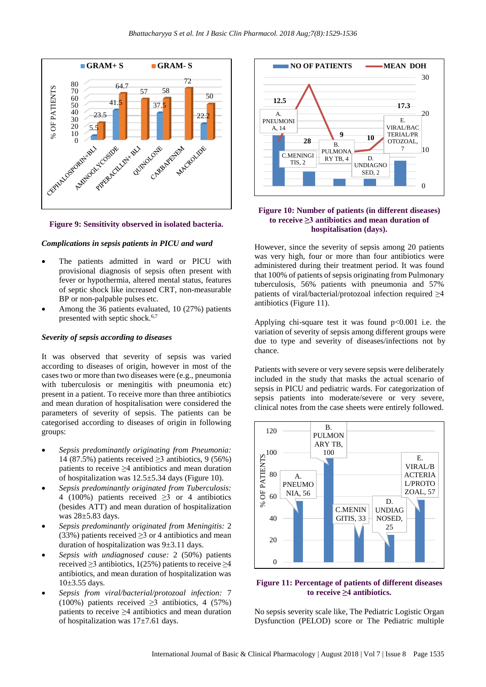



#### *Complications in sepsis patients in PICU and ward*

- The patients admitted in ward or PICU with provisional diagnosis of sepsis often present with fever or hypothermia, altered mental status, features of septic shock like increased CRT, non-measurable BP or non-palpable pulses etc.
- Among the 36 patients evaluated, 10 (27%) patients presented with septic shock. $6,7$

#### *Severity of sepsis according to diseases*

It was observed that severity of sepsis was varied according to diseases of origin, however in most of the cases two or more than two diseases were (e.g., pneumonia with tuberculosis or meningitis with pneumonia etc) present in a patient. To receive more than three antibiotics and mean duration of hospitalisation were considered the parameters of severity of sepsis. The patients can be categorised according to diseases of origin in following groups:

- *Sepsis predominantly originating from Pneumonia:* 14 (87.5%) patients received  $\geq$ 3 antibiotics, 9 (56%) patients to receive ≥4 antibiotics and mean duration of hospitalization was  $12.5 \pm 5.34$  days (Figure 10).
- *Sepsis predominantly originated from Tuberculosis:* 4 (100%) patients received ≥3 or 4 antibiotics (besides ATT) and mean duration of hospitalization was 28±5.83 days.
- *Sepsis predominantly originated from Meningitis:* 2 (33%) patients received  $\geq$ 3 or 4 antibiotics and mean duration of hospitalization was 9±3.11 days.
- *Sepsis with undiagnosed cause:* 2 (50%) patients received  $\geq$ 3 antibiotics, 1(25%) patients to receive  $\geq$ 4 antibiotics, and mean duration of hospitalization was  $10\pm 3.55$  days.
- *Sepsis from viral/bacterial/protozoal infection:* 7 (100%) patients received  $\geq$ 3 antibiotics, 4 (57%) patients to receive ≥4 antibiotics and mean duration of hospitalization was 17±7.61 days.



## **Figure 10: Number of patients (in different diseases) to receive ≥3 antibiotics and mean duration of hospitalisation (days).**

However, since the severity of sepsis among 20 patients was very high, four or more than four antibiotics were administered during their treatment period. It was found that 100% of patients of sepsis originating from Pulmonary tuberculosis, 56% patients with pneumonia and 57% patients of viral/bacterial/protozoal infection required ≥4 antibiotics (Figure 11).

Applying chi-square test it was found  $p<0.001$  i.e. the variation of severity of sepsis among different groups were due to type and severity of diseases/infections not by chance.

Patients with severe or very severe sepsis were deliberately included in the study that masks the actual scenario of sepsis in PICU and pediatric wards. For categorization of sepsis patients into moderate/severe or very severe, clinical notes from the case sheets were entirely followed.



### **Figure 11: Percentage of patients of different diseases to receive ≥4 antibiotics.**

No sepsis severity scale like, The Pediatric Logistic Organ Dysfunction (PELOD) score or The Pediatric multiple